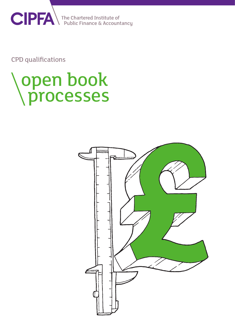

CPD qualifications

# open book processes

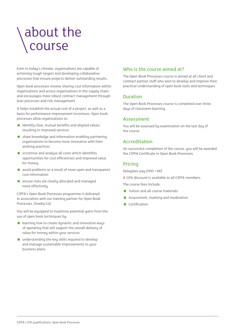## about the course

Even in today's climate, organisations are capable of achieving tough targets and developing collaborative processes that ensure projects deliver outstanding results.

Open book processes involve sharing cost information within organisations and across organisations in the supply chain, and encourages more robust contract management through lean processes and risk management.

It helps establish the actual cost of a project, as well as a basis for performance improvement incentives. Open book processes allow organisations to:

- $\blacksquare$  identify clear, mutual benefits and aligned values resulting in improved services
- share knowledge and information enabling partnering organisations to become more innovative with their working practices
- scrutinise and analyse all costs which identifies opportunities for cost efficiencies and improved value for money
- avoid problems as a result of more open and transparent cost information
- **E** ensure risks are clearly allocated and managed more effectively.

CIPFA's Open Book Processes programme is delivered in association with our training partner for Open Book Processes, Stradia Ltd.

You will be equipped to maximise potential gains from the use of open book techniques by:

- $\blacksquare$  learning how to create dynamic and innovative ways of operating that will support the overall delivery of value for money within your services
- understanding the key skills required to develop and manage sustainable improvements to your business plans.

#### Who is the course aimed at?

The Open Book Processes course is aimed at all client and contract partner staff who wish to develop and improve their practical understanding of open book tools and techniques.

#### Duration

The Open Book Processes course is completed over three days of classroom learning.

#### **Assessment**

You will be assessed by examination on the last day of the course.

#### Accreditation

On successful completion of the course, you will be awarded the CIPFA Certificate in Open Book Processes.

#### Pricing

Delegates pay £995 +VAT

A 10% discount is available to all CIPFA members.

The course fees include:

- **Tuition and all course materials**
- Assessment, marking and moderation
- Certification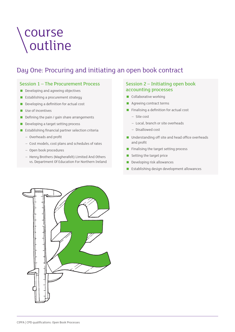## course outline

### Day One: Procuring and initiating an open book contract

#### Session 1 – The Procurement Process

- Developing and agreeing objectives
- **Establishing a procurement strategy**
- Developing a definition for actual cost
- Use of incentives
- Defining the pain / gain share arrangements
- Developing a target setting process
- **Establishing financial partner selection criteria** 
	- Overheads and profit
	- Cost models, cost plans and schedules of rates
	- Open book procedures
	- Henry Brothers (Magherafelt) Limited And Others vs. Department Of Education For Northern Ireland

#### Session 2 – Initiating open book accounting processes

- Collaborative working
- **Agreeing contract terms**
- **Finalising a definition for actual cost** 
	- Site cost
	- Local, branch or site overheads
	- Disallowed cost
- Understanding off site and head office overheads and profit
- **Finalising the target setting process**
- Setting the target price
- Developing risk allowances
- **Establishing design development allowances**

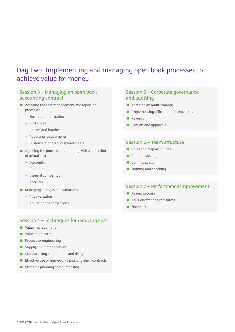### Day Two: Implementing and managing open book processes to achieve value for money

#### Session 3 – Managing an open book accounting contract

- **Agreeing the cost management and reporting** processes
	- Format of information
	- Cost codes
	- Phases and batches
	- Reporting requirements
	- Systems, models and spreadsheets
- Agreeing the process for compiling with a definition of actual cost
	- Discounts
	- Plant hire
	- Internal companies
	- Accruals
- **Managing changes and variations** 
	- Price variation
	- Adjusting the target price

#### Session 4 – Techniques for reducing cost

- Value management
- Value engineering
- **Process re-engineering**
- Supply chain management
- **Standardising components and design**
- **Effective use of frameworks and long-term contracts**
- Strategic planning and purchasing

#### Session 5 – Corporate governance and auditing

- **Agreeing an audit strategy**
- **Implementing efficient audit processes**
- **Reviews**
- Sign off and approvals

#### Session 6 – Team structure

- Roles and responsibilities
- **Problem solving**
- Communication
- **Training and coaching**

#### Session 7 – Performance improvement

- **Review process**
- **Key Performance Indicators**
- **Feedback**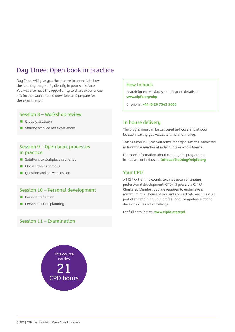### Day Three: Open book in practice

Day Three will give you the chance to appreciate how the learning may apply directly in your workplace. You will also have the opportunity to share experiences, ask further work-related questions and prepare for the examination.

#### Session 8 – Workshop review

- Group discussion
- **Sharing work-based experiences**

#### Session 9 – Open book processes in practice

- $\blacksquare$  Solutions to workplace scenarios
- Chosen topics of focus
- Question and answer session

#### Session 10 – Personal development

- **Personal reflection**
- **Personal action planning**

#### Session 11 – Examination

## This course carries 21 CPD hours

#### How to book

Search for course dates and location details at: **[www.cipfa.org/o](http://www.cipfa.org/training)bp**

Or phone: **+44 (0)20 7543 5600**

#### In house delivery

The programme can be delivered in-house and at your location, saving you valuable time and money.

This is especially cost-effective for organisations interested in training a number of individuals or whole teams.

For more information about running the programme in-house, contact us at: **[InHouseTraining@cipfa.org](mailto:InHouseTraining%40cipfa.org?subject=)**

#### Your CPD

All CIPFA training counts towards your continuing professional development (CPD). If you are a CIPFA Chartered Member, you are required to undertake a minimum of 20 hours of relevant CPD activity each year as part of maintaining your professional competence and to develop skills and knowledge.

For full details visit: **www.cipfa.org/cpd**